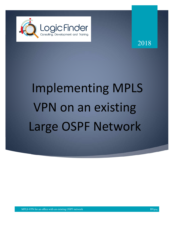

2018

# Implementing MPLS VPN on an existing Large OSPF Network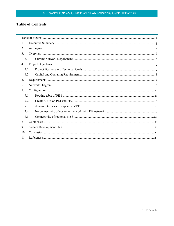# **Table of Contents**

| 1.   |  |  |  |  |  |
|------|--|--|--|--|--|
| 2.   |  |  |  |  |  |
| 3.   |  |  |  |  |  |
| 3.1. |  |  |  |  |  |
| 4.   |  |  |  |  |  |
| 4.1. |  |  |  |  |  |
| 4.2. |  |  |  |  |  |
| 5.   |  |  |  |  |  |
| 6.   |  |  |  |  |  |
| 7.   |  |  |  |  |  |
| 7.1. |  |  |  |  |  |
| 7.2. |  |  |  |  |  |
| 7.3. |  |  |  |  |  |
| 7.4. |  |  |  |  |  |
| 7.5. |  |  |  |  |  |
| 8.   |  |  |  |  |  |
| 9.   |  |  |  |  |  |
| 10.  |  |  |  |  |  |
| 11.  |  |  |  |  |  |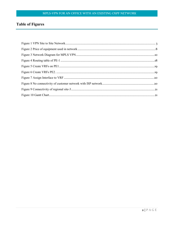## **Table of Figures**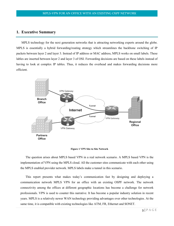## **1. Executive Summary**

MPLS technology for the next generation networks that is attracting networking experts around the globe. MPLS is essentially a hybrid forwarding/routing strategy which streamlines the backbone switching of IP packets between layer 2 and layer 3. Instead of IP address or MAC address, MPLS works on small labels. These lables are inserted between layer 2 and layer 3 of OSI. Forwarding decisions are based on these labels instead of having to look at complex IP tables. Thus, it reduces the overhead and makes forwarding decisions more efficient.



**Figure 1 VPN Site to Site Network**

The question arises about MPLS based VPN in a real network scenario. A MPLS based VPN is the implementation of VPN using the MPLS cloud. All the customer sites communicate with each other using the MPLS enabled provider network. MPLS labels make a tunnel in this scenario.

This report presents what makes today's communication fast by designing and deploying a communication network MPLS VPN for an office with an existing OSPF network. The network connectivity among the offices at different geographic locations has become a challenge for network professionals. VPN is used to counter this narrative. It has become a popular industry solution in recent years. MPLS is a relatively newer WAN technology providing advantages over other technologies. At the same time, it is compatible with existing technologies like ATM, FR, Ethernet and SONET.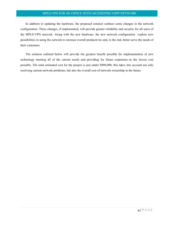In addition to updating the hardware, the proposed solution outlines some changes in the network configuration. These changes, if implemented, will provide greater reliability and security for all users of the MPLS-VPN network. Along with the new hardware, the new network configuration explore new possibilities in using the network to increase overall productivity and, in the end, better serve the needs of their customers.

The solution outlined below will provide the greatest benefit possible for implementation of new technology meeting all of the current needs and providing for future expansion--at the lowest cost possible. The total estimated cost for the project is just under \$900,000; this takes into account not only resolving current network problems, but also the overall cost of network ownership in the future.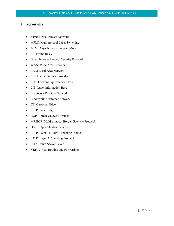## **2. Acronyms**

- VPN: Virtual Private Network
- MPLS: Multiprotocol Label Switching
- ATM: Asynchronous Transfer Mode
- FR: Frame Relay
- IPsec: Internet Protocol Security Protocol
- WAN: Wide Area Network
- LAN: Local Area Network
- ISP: Internet Service Provider
- FEC: Forward Equivalency Class
- LIB: Label Information Base
- P-Network Provider Network
- C-Network: Customer Network
- CE: Customer Edge
- PE: Provider Edge
- BGP: Border Gateway Protocol
- MP-BGP: Multi-protocol Border Gateway Protocol
- OSPF: Open Shortest Path First
- PPTP: Point-To-Point Tunneling Protocol
- L2TP: Layer 2 Tunneling Protocol
- SSL: Secure Socket Layer
- VRF: Virtual Routing and Forwarding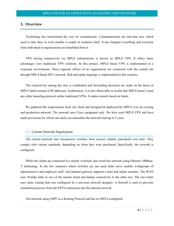## **3. Overview**

Technology has transformed the way we communicate. Communications are real-time now which used to take days or even months a couple of centuries back. It has changed everything and everyone from individual to organizations are benefitted from it.

VPN having connectivity via MPLS infrastructure is known as MPLS VPN. It offers many advantages over traditional VPN solutions. In this project, MPLS based VPN is implemented in a corporate environment. Three regional offices of an organization are connected with the central site through MPLS based ISP's network. Hub and spoke topology is implemented in this scenario.

The connectivity among the sites is established and forwarding decisions are made on the bases of MPLS labels instead of IP addresses. Furthermore, it is also observable in results that MPLS doesn't need any other tunneling protocol unlike traditional VPNs. It makes tunnels based on labels.

We gathered the requirements from our client and designed  $\&$  deployed the MPLS over an existing and production network. The network uses Cisco equipment only. We have used MPLS VPN and have made provisions for which can easily accommodate the network load up to 5 years.

#### 3.1. Current Network Depolyment

The current network uses inexpensive switches from several vendors, purchased over time. They comply with various standards, depending on when they were purchased. Specifically, the network is configured.

While the clients are connected in a mostly switched, star-wired bus network using Ethernet 100Base-T technology. In the few instances where switches are not used, hubs serve smaller workgroups of administrative and employee staff. And Internet gateway supports e-mail and online searches. The WAN uses 56-kbps links to two of the remote client and dialup connectivity to the other two. The one router uses static routing that was configured by a previous network designer. A firewall is used to prevents unauthorized access from the PSTN connection into the internal network.

The network using OSPF as a Routing Protocol and has no MPLS configured.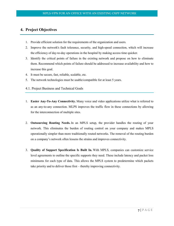## **4. Project Objectives**

- 1. Provide efficient solution for the requirements of the organization and users.
- 2. Improve the network's fault tolerance, security, and high-speed connection, which will increase the efficiency of day-to-day operations in the hospital by making access time quicker.
- 3. Identify the critical points of failure in the existing network and propose on how to eliminate them. Recommend which points of failure should be addressed to increase availability and how to increase this goal.
- 4. It must be secure, fast, reliable, scalable, etc.
- 5. The network technologies must be usable/compatible for at least 5 years.
- 4.1. Project Business and Technical Goals
- 1. **Easier Any-To-Any Connectivity.** Many voice and video applications utilize what is referred to as an any-to-any connection. MLPS improves the traffic flow in these connections by allowing for the interconnection of multiple sites.
- 2. **Outsourcing Routing Needs.** In an MPLS setup, the provider handles the routing of your network. This eliminates the burden of routing control on your company and makes MPLS operationally simpler than more traditionally routed networks. The removal of the routing burden on a company's network often lessens the strains and improves connectivity.
- 3. **Quality of Support Specification Is Built In.** With MPLS, companies can customize service level agreements to outline the specific supports they need. These include latency and packet loss minimums for each type of data. This allows the MPLS system to predetermine which packets take priority and to deliver those first – thereby improving connectivity.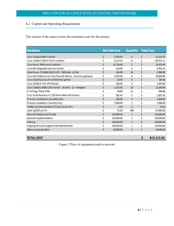## 4.2. Capital and Operating Requirement

This section of the report covers the estimated costs for this project.

| <b>Hardware</b>                                                    | <b>Per Unit Cost</b> | <b>Quantity</b> | <b>Total Cost</b> |
|--------------------------------------------------------------------|----------------------|-----------------|-------------------|
| Cisco Catalyst 6509-E Switch                                       | \$<br>5,354.95       | 6               | \$<br>32,129.70   |
| Cisco Catalyst 3560-X Series Switches                              | \$<br>8,225.47       | 13              | \$<br>106,931.11  |
| Cisco Nexus 7000 Series Switches                                   | \$<br>12,739.00      | $\overline{2}$  | \$<br>25,478.00   |
| Cisco 881 Integrated Services Router                               | \$<br>618.99         | 8               | \$<br>4,951.92    |
| CyberPower CP1500AVRLCD UPS - 900 Watt - 8.5 Ah                    | \$<br>149.99         | 20              | \$<br>2,999.80    |
| Cisco ASA 5510 Security Plus Firewall Edition - Security appliance | \$<br>2,475.00       | 8               | \$<br>19,800.00   |
| Cisco Small Business Pro POES5 PoE splitter                        | \$<br>24.99          | 6               | \$<br>149.94      |
| Cisco 10/100 8-Port VPN Router                                     | \$<br>266.95         | 4               | \$<br>1,067.80    |
| Cisco Catalyst 3560G-24TS Switch - 24 ports - L3 - managed         | \$<br>2,235.00       | 10              | \$<br>22,350.00   |
| RJ 45 Plugs *Pack of 50                                            | \$<br>49.99          | 12              | \$<br>599.88      |
| Cisco Small Business VC 220 Dome Network Camera                    | \$<br>567.47         | 5               | \$<br>2,837.35    |
| T1 Access Installation (monthly fee)                               | \$<br>350.00         | 4               | \$<br>1,400.00    |
| T3 Acess Installation (monthly fee)                                | \$<br>7,000.00       | 1               | \$<br>7,000.00    |
| 5-Mbps increments times \$75 plus \$5 per PVC                      | \$<br>5.00           | 4               | \$<br>20.00       |
| Labor (@ \$75 per hr)                                              | \$<br>75.00          | 900             | \$<br>67,500.00   |
| Network Analysis and Design                                        | \$<br>150,000.00     | $\mathbf{1}$    | \$<br>150,000.00  |
| Network implementation                                             | \$<br>150,000.00     | $\mathbf{1}$    | \$<br>150,000.00  |
| Training                                                           | \$<br>100,000.00     | $\mathbf{1}$    | \$<br>100,000.00  |
| Ongoing Network Supposrt and Maintenance                           | \$<br>100,000.00     | $\mathbf{1}$    | \$<br>100,000.00  |
| Other neccessay labor                                              | \$<br>20,000.00      | $\mathbf{1}$    | \$<br>20,000.00   |
|                                                                    |                      |                 |                   |
| <b>TOTAL COST</b>                                                  |                      |                 | \$<br>815,215.50  |

Figure 2 Price of equipment used in network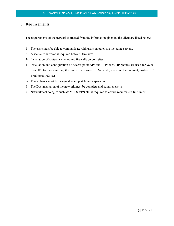# **5. Requirements**

The requirements of the network extracted from the information given by the client are listed below:

- 1- The users must be able to communicate with users on other site including servers.
- 2- A secure connection is required between two sites.
- 3- Installation of routers, switches and firewalls on both sites.
- 4- Installation and configuration of Access point APs and IP Phones. (IP phones are used for voice over IP, for transmitting the voice calls over IP Network, such as the internet, instead of Traditional PSTN.)
- 5- This network must be designed to support future expansion.
- 6- The Documentation of the network must be complete and comprehensive.
- 7- Network technologies such as: MPLS VPN etc. is required to ensure requirement fulfillment.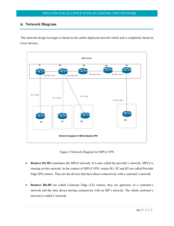## **6. Network Diagram**

This network design leverages is based on the earlier deployed network which and is completely based on Cisco devices.



Figure 3 Network Diagram for MPLS VPN

- **Routers R1-R5** constitutes the MPLS network. It is also called the provider's network. MPLS is running on this network. In the context of MPLS VPN, routers R1, R2 and R5 are called Provider Edge (PE) routers. They are the devices that have direct connectivity with a customer's network.
- **Routers R6-R9** are called Customer Edge (CE) routers, they are gateways of a customer's network and the only device having connectivity with an ISP's network. The whole customer's network is called C-network.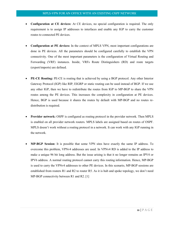- **Configuration at CE devices:** At CE devices, no special configuration is required. The only requirement is to assign IP addresses to interfaces and enable any IGP to carry the customer routes to connected PE devices.
- **Configuration at PE devices:** In the context of MPLS VPN, most important configurations are done in PE devices. All the parameters should be configured carefully to establish the VPN connectivity. One of the most important parameters is the configuration of Virtual Routing and Forwarding (VRF) instances. Inside, VRFs Route Distinguishers (RD) and route targets (export/imports) are defined.
- **PE-CE Routing:** PE-CE is routing that is achieved by using a BGP protocol. Any other Interior Gateway Protocol (IGP) like RIP, EIGRP or static routing can be used instead of BGP. If we use any other IGP, then we have to redistribute the routes from IGP to MP-BGP to share the VPN routes among the PE devices. This increases the complexity in configuration at PE devices. Hence, BGP is used because it shares the routes by default with MP-BGP and no routes redistribution is required.
- **Provider network:** OSPF is configured as routing protocol in the provider network. Then MPLS is enabled on all provider network routers. MPLS labels are assigned based on routes of OSPF. MPLS doesn't work without a routing protocol in a network. It can work with any IGP running in the network.
- **MP-BGP Session:** It is possible that some VPN sites have exactly the same IP address. To overcome this problem, VPNv4 addresses are used. In VPNv4 RD is added to the IP address to make a unique 96 bit long address. But the issue arising is that it no longer remains an IPV4 or IPV6 address. A normal routing protocol cannot carry this routing information. Hence, MP-BGP is used to carry the VPNv4 addresses to other PE devices. In this scenario, MP-BGP sessions are established from routers R1 and R2 to router R5. As it is hub and spoke topology, we don't need MP-BGP connectivity between R1 and R2. [1]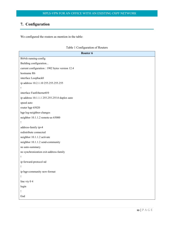# **7. Configuration**

We configured the routers as mention in the table:

|  | Table 1 Configuration of Routers |  |
|--|----------------------------------|--|
|--|----------------------------------|--|

| Router <sub>6</sub>                             |
|-------------------------------------------------|
| R6#sh running-config                            |
| Building configuration                          |
| current configuration : 1902 bytes version 12.4 |
| hostname R6                                     |
| interface Loopback0                             |
| ip address 10.2.1.10 255.255.255.255            |
| Ţ                                               |
| interface FastEthernet0/0                       |
| ip address 10.1.1.1 255.255.255.0 duplex auto   |
| speed auto                                      |
| router bgp 65020                                |
| bgp log-neighbor-changes                        |
| neighbor 10.1.1.2 remote-as 65000               |
| Ţ                                               |
| address-family ipv4                             |
| redistribute connected                          |
| neighbor 10.1.1.2 activate                      |
| neighbor 10.1.1.2 send-community                |
| no auto-summary.                                |
| no synchronization exit-address-family          |
| Ţ                                               |
| ip forward-protocol nd                          |
| Ţ                                               |
| ip bgp-community new-format                     |
| Ţ                                               |
| line vty 0 4                                    |
| login                                           |
| Ţ                                               |
| End                                             |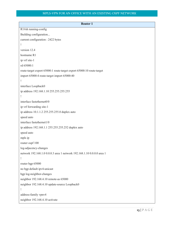| <b>Router 1</b>                                                        |
|------------------------------------------------------------------------|
| R1#sh running-config                                                   |
| Building configuration                                                 |
| current configuration : 2422 bytes                                     |
| ļ                                                                      |
| version 12.4                                                           |
| hostname R1                                                            |
| ip vrf site-1                                                          |
| rd 65000:1                                                             |
| route-target export 65000:1 route-target export 65000:10 route-target  |
| import 65000:4 route-target import 65000:40                            |
|                                                                        |
| interface Loopback0                                                    |
| ip address 192.168.1.10 255.255.255.255                                |
| Ţ                                                                      |
| interface fastethernet0/0                                              |
| ip vrf forwarding site-1                                               |
| ip address 10.1.1.2 255.255.255.0 duplex auto                          |
| speed auto                                                             |
| interface fastethernet1/0                                              |
| ip address 192.168.1.1 255.255.255.252 duplex auto                     |
| speed auto                                                             |
| mpls ip                                                                |
| router ospf 100                                                        |
| log-adjacency-changes                                                  |
| network 192.168.1.0 0.0.0.3 area 1 network 192.168.1.10 0.0.0.0 area 1 |
| Ţ                                                                      |
| router bgp 65000                                                       |
| no bgp default ipv4-unicast                                            |
| bgp log-neighbor-changes                                               |
| neighbor 192.168.4.10 remote-as 65000                                  |
| neighbor 192.168.4.10 update-source Loopback0                          |
|                                                                        |
| address-family vpnv4                                                   |
| neighbor 192.168.4.10 activate                                         |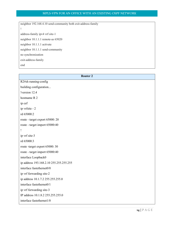neighbor 192.168.4.10 send-community both exit-address-family ! address-family ipv4 vrf site-1 neighbor 10.1.1.1 remote-as 65020 neighbor 10.1.1.1 activate neighbor 10.1.1.1 send-community no synchronization exit-address-family end

| <b>Router 2</b>                         |
|-----------------------------------------|
| R2#sh running-config                    |
| building configuration                  |
| !version 12.4                           |
| hostname R 2                            |
| ip cef                                  |
| ip vrfsite - 2                          |
| rd 65000:2                              |
| route - target export 65000: 20         |
| route - target import 65000:40          |
| Ţ                                       |
| ip vrf site-3                           |
| rd 65000:3                              |
| route -target export 65000: 30          |
| route - target import 65000:40          |
| interface Loopback0                     |
| ip address 193.168.2.10 255.255.255.255 |
| interface fastethernet0/0               |
| ip vrf forwarding site-2                |
| ip address 10.1.7.2 255.255.255.0       |
| interface fastethernet0/1               |
| ip vrf forwarding site-3                |
| IP address 10.1.8.2 255.255.255.0       |
| interface fastethernet1/0               |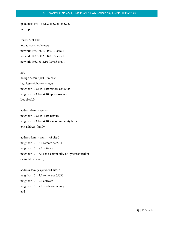```
ip address 193.168.1.2 255.255.255.252
mpls ip
router ospf 100 
log-adjacency-changes
network 193.168.1.0 0.0.0.3 area 1
network 193.168.2.0 0.0.0.3 area 1
network 193.168.2.10 0.0.0.3 area 1
!
nob
no bgp defaultipv4 - unicast
bgp log-neighbor-changes 
neighbor 193.168.4.10 remote-as65000 
neighbor 193.168.4.10 update-source
Loopback0
!
address-family vpnv4
neighbor 193.168.4.10 activate
neighbor 193.168.4.10 send-community both
exit-address-family
!
address-family vpnv4 vrf site-3
neighbor 10.1.8.1 remote-as65040 
neighbor 10.1.8.1 activate
neighbor 10.1.8.1 send-community no synchronization
exit-address-family
!
address-family vpnv4 vrf site-2
neighbor 10.1.7.1 remote-as65030 
neighbor 10.1.7.1 activate
neighbor 10.1.7.1 send-community
end
```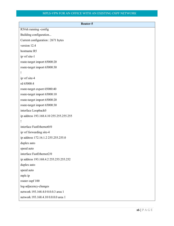| Router-5                                |
|-----------------------------------------|
| R5#sh running -config                   |
| Building configuration                  |
| Current configuration : 2671 bytes      |
| version 12.4                            |
| hostname R5                             |
| ip vrf site-1                           |
| route-target import 65000:20            |
| route-target import 65000:30            |
| Ţ                                       |
| ip vrf site-4                           |
| rd 65000:4                              |
| route-target export 65000:40            |
| route-target import 65000:10            |
| route-target import 65000:20            |
| route-target import 65000:30            |
| interface Loopback0                     |
| ip address 193.168.4.10 255.255.255.255 |
|                                         |
| interface FastEthernet0/0               |
| ip vrf forwarding site-4                |
| ip address 172.16.1.2 255.255.255.0     |
| duplex auto                             |
| speed auto                              |
| interface FastEthernet2/0               |
| ip address 193.168.4.2 255.255.255.252  |
| duplex auto                             |
| speed auto                              |
| mpls ip                                 |
| router ospf 100                         |
| log-adjacency-changes                   |
| network 193.168.4.0 0.0.0.3 area 1      |
| network 193.168.4.10 0.0.0.0 area 1     |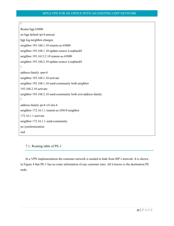```
Router bgp 65000
no bgp default ipv4-unicast
bgp log-neighbor-changes
neighbor 193.168.1.10 remote-as 65000
neighbor 193.168.1.10 update-source Loopback0
neighbor 193.1613.2.10 remote-as 65000
neighbor 193.168.2.10 update-source Loopback0
!
address-family vpnv4
neighbor 193.168.1.10 activate
neighbor 193.168.1.10 send-community both neighbor
193.168.2.10 activate
neighbor 193.168.2.10 send-community both exit-address-family
!
address-family ipv4 vrf site-4
neighbor 172.16.1.1 remote-as 65010 neighbor
172.16.1.1 activate
neighbor 172.16.1.1 send-community
no synchronization
end
```
7.1. Routing table of PE-1

!

In a VPN implementation the customer network is needed to hide from ISP's network. It is shown in Figure 4 that PE-1 has no route information of any customer sites. All it knows is the destination PE node.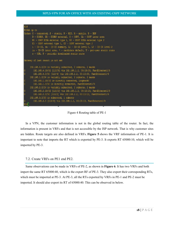

Figure 4 Routing table of PE-1

In a VPN, the customer information is not in the global routing table of the router. In fact, the information is present in VRFs and that is not accessible by the ISP network. That is why customer sites are hidden. Route targets are also defined in VRFs. **Figure 5** shows the VRF information of PE-1. It is important to note that imports the RT which is exported by PE-3. It exports RT 65000:10, which will be imported by PE-3.

## 7.2. Create VRFs on PE1 end PE2.

Same observations can be made in VRFs of PE-2, as shown in **Figure 6**. It has two VRFs and both import the same RT 65000:40, which is the export RF of PE-3. They also export their corresponding RTs, which must be imported at PE-3. At PE-3, all the RTs exported by VRFs in PE-1 and PE-2 must be imported. It should also export its RT of 65000:40. This can be observed in below.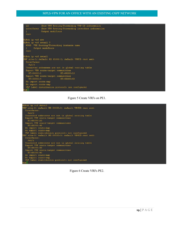| 1d                    |                                     |                                                 | Show VPN Routing/Forwarding VPN-ID information<br>interfaces Show VPN Routing/Forwarding interface information |  |
|-----------------------|-------------------------------------|-------------------------------------------------|----------------------------------------------------------------------------------------------------------------|--|
| т.                    | Output modifiers                    |                                                 |                                                                                                                |  |
| 500                   |                                     |                                                 |                                                                                                                |  |
| Rl#ah ip vrf det      |                                     |                                                 |                                                                                                                |  |
| Ri#sh ip wrf detail ? |                                     |                                                 |                                                                                                                |  |
|                       |                                     | WORD VPN Routing/Forwarding instance name       |                                                                                                                |  |
| Output modifiers      |                                     |                                                 |                                                                                                                |  |
| COEX.                 |                                     |                                                 |                                                                                                                |  |
|                       |                                     |                                                 |                                                                                                                |  |
| Ri#sh ip vrf detail   |                                     |                                                 |                                                                                                                |  |
|                       |                                     |                                                 | URF site-1; default RD 65000:1; default VPNID <not set=""></not>                                               |  |
| Interfaces:           |                                     |                                                 |                                                                                                                |  |
| FAD/0                 |                                     |                                                 |                                                                                                                |  |
|                       |                                     |                                                 | Connected addresses are not in global routing table                                                            |  |
|                       | Export VPN route-target communities |                                                 |                                                                                                                |  |
| RT: 65000:1           |                                     | ET: 65000:10                                    |                                                                                                                |  |
|                       | Import VPN route-target communities |                                                 |                                                                                                                |  |
| RT:65000:4            |                                     | ET: 65000:40                                    |                                                                                                                |  |
| No import route-map   |                                     |                                                 |                                                                                                                |  |
| No export route-map   |                                     |                                                 |                                                                                                                |  |
|                       |                                     | VRF label distribution protocol: not configured |                                                                                                                |  |
| н ка⊓                 |                                     |                                                 |                                                                                                                |  |





Figure 6 Create VRFs PE2.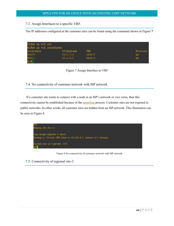7.3. Assign Interfaces to a specific VRF.

The IP addresses configured at the customer sites can be found using the command shown in Figure **7**

| R2#sh ip vrf int<br>R2#sh ip vrf interfaces |            |            |          |
|---------------------------------------------|------------|------------|----------|
| Interface                                   | IP-Address | VRF.       | Protocol |
| Fa0/0                                       | 10.1.7.2   | $3156 - 2$ | up.      |
| Fa0/1                                       | 10.1.8.2   | $3156 - 3$ | up.      |
| R2                                          |            |            |          |

Figure 7 Assign Interface to VRF

7.4. No connectivity of customer network with ISP network

If a customer site wants to connect with a node in an ISP's network or vice versa, then this connectivity cannot be established because of the tunneling process. Customer sites are not exposed to public networks. In other words, all customer sites are hidden from an ISP network. This illustration can be seen in Figure 8.



Figure 8 No connectivity of customer network with ISP network

7.5. Connectivity of regional site-3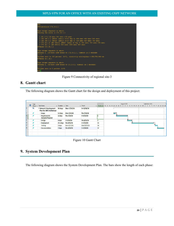| 見つま<br>R7#traceroute 172.16.1.1                                                                                                                                                                                                                                                                                                              |
|----------------------------------------------------------------------------------------------------------------------------------------------------------------------------------------------------------------------------------------------------------------------------------------------------------------------------------------------|
| Type escape sequence to abort.<br>Tracing the route to 172.16.1.1                                                                                                                                                                                                                                                                            |
| 1 10.1.7.2 16 matc 344 matc 172 matc<br>2 192.168.2.2 [MPLS: Labels 19/22 Exp 0] 496 msec 456 msec 548 msec<br>3 192.168.3.2 [MPLS: Labels 16/22 Exp 0] 524 msec 428 msec 748 msec<br>4 172.16.1.2 [AS 65010] [MFLS: Label 22 Exp 0] 652 msec 764 msec 572 msec<br>5 172.16.1.1 [AS 45010] 844 msec 1004 msec 900 msec<br>R7#ping 172.16.1.1 |
| Type escape sequence to abort.<br>Sending 5, 100-byte ICMP Echos to 172.16.1.1, timeout is 2 seconds:<br>11111<br>Success rate is 100 percent (5/5), round-trip min/avg/max = 656/785/948 ms<br>R7#ping 10.1.8.1                                                                                                                             |
| Type escape sequence to abort.<br>Sending S. 100-byte ICMP Echos to 10.1.8.1, timeout is 2 seconds:<br><b>ALCOHOL</b><br>Success rate is 0 percent (0/5)<br><b>B7#</b>                                                                                                                                                                       |

Figure 9 Connectivity of regional site-3

# **8. Gantt chart**

The following diagram shows the Gantt chart for the design and deployment of this project:

|                | Task |                                                                      |                                    |                    |               |                  | August 2018                                                                             | September 2018 |
|----------------|------|----------------------------------------------------------------------|------------------------------------|--------------------|---------------|------------------|-----------------------------------------------------------------------------------------|----------------|
| $\bf \Theta$   |      | Mode - Task Name                                                     | $\bullet$ Duration $\bullet$ Start |                    | $\div$ Finish |                  | Predecess 10 13 16 19 22 25 28 31 3 6 9 12 15 18 21 24 27 30 2 5 8 11 14 17 20 23 26 29 |                |
| l0             | L.   | <sup>4</sup> Network Development<br><b>Plan for ABC Intellectual</b> | 50 days                            | Mon 7/23/18        | Fri 9/28/18   |                  |                                                                                         |                |
|                |      | <b>Scope</b>                                                         | 3.5 days                           | <b>Mon 7/23/18</b> | Thu 7/26/18   |                  |                                                                                         |                |
| 6              |      | <b>Requirements</b><br><b>Analysis/Proposal</b>                      | 11 days                            | Thu 7/26/18        | Fri 8/10/18   |                  |                                                                                         |                |
| h1             |      | <b>Design</b>                                                        | 4 days                             | Fri 8/10/18        | Thu 8/16/18   | $\boldsymbol{6}$ |                                                                                         |                |
| h4             |      | <b>Deployment</b>                                                    | 21.5 days                          | Thu 8/16/18        | Fri 9/14/18   | 11               |                                                                                         |                |
| 17             |      | <b>Testing</b>                                                       | 3 days                             | Mon 9/17/18        | Wed 9/19/18   | 14               |                                                                                         |                |
| h <sub>8</sub> |      | <b>Documentation</b>                                                 | 7 days                             | Thu 9/20/18        | Fri 9/28/18   | 17               |                                                                                         |                |
|                |      |                                                                      |                                    |                    |               |                  |                                                                                         |                |
|                |      |                                                                      |                                    |                    |               |                  |                                                                                         |                |



# **9. System Development Plan**

The following diagram shows the System Development Plan. The bars show the length of each phase: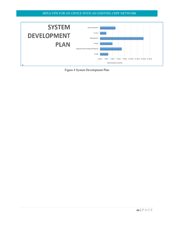

Figure 4 System Development Plan